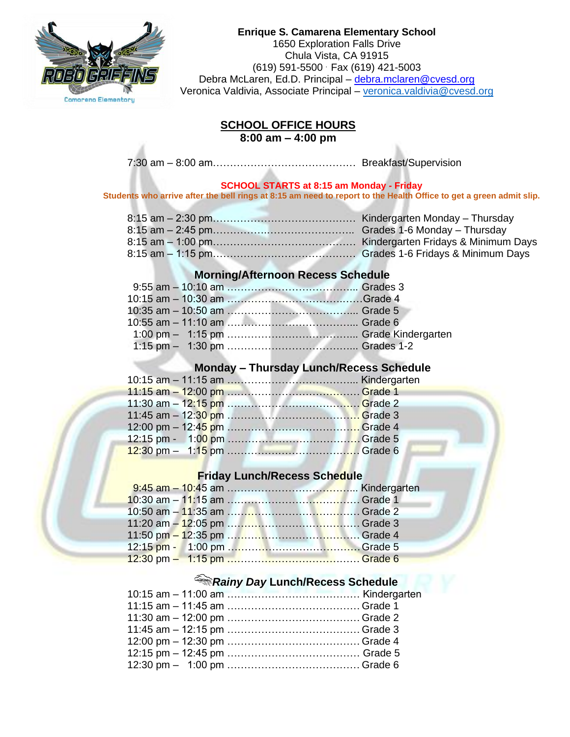

#### **Enrique S. Camarena Elementary School** 1650 Exploration Falls Drive Chula Vista, CA 91915 (619) 591-5500 . Fax (619) 421-5003 Debra McLaren, Ed.D. Principal - [debra.mclaren@cvesd.org](mailto:debra.mclaren@cvesd.org) Veronica Valdivia, Associate Principal - [veronica.valdivia@cvesd.org](mailto:veronica.valdivia@cvesd.org)

### **SCHOOL OFFICE HOURS 8:00 am – 4:00 pm**

7:30 am – 8:00 am…………………………………… Breakfast/Supervision

#### **SCHOOL STARTS at 8:15 am Monday - Friday**

**Students who arrive after the bell rings at 8:15 am need to report to the Health Office to get a green admit slip.**

# **Morning/Afternoon Recess Schedule**

# **Monday – Thursday Lunch/Recess Schedule**

## **Friday Lunch/Recess Schedule**

# *Rainy Day* **Lunch/Recess Schedule**